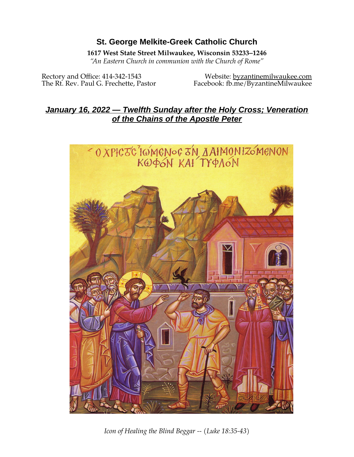# **St. George Melkite-Greek Catholic Church**

### **1617 West State Street Milwaukee, Wisconsin 53233–1246**

*"An Eastern Church in communion with the Church of Rome"*

Rectory and Office: 414-342-1543 Website: [byzantinemilwaukee.com](https://byzantinemilwaukee.com/) The Rt. Rev. Paul G. Frechette, Pastor Facebook: fb.me/ByzantineMilwaukee

# *January 16, 2022 — Twelfth Sunday after the Holy Cross; Veneration of the Chains of the Apostle Peter*



*Icon of Healing the Blind Beggar -- (Luke 18:35-43)*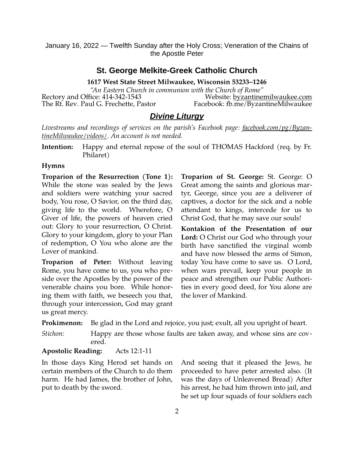#### **St. George Melkite-Greek Catholic Church**

**1617 West State Street Milwaukee, Wisconsin 53233–1246**

*"An Eastern Church in communion with the Church of Rome"* Rectory and Office: 414-342-1543 Website: [byzantinemilwaukee.com](https://byzantinemilwaukee.com/) The Rt. Rev. Paul G. Frechette, Pastor Facebook: fb.me/ByzantineMilwaukee

### *Divine Liturgy*

*Livestreams and recordings of services on the parish's Facebook page: [facebook.com/pg/Byzan](https://www.facebook.com/pg/ByzantineMilwaukee/videos/)[tineMilwaukee/videos/.](https://www.facebook.com/pg/ByzantineMilwaukee/videos/) An account is not needed.*

**Intention:** Happy and eternal repose of the soul of THOMAS Hackford (req. by Fr. Philaret)

#### **Hymns**

**Troparion of the Resurrection (Tone 1):** While the stone was sealed by the Jews and soldiers were watching your sacred body, You rose, O Savior, on the third day, giving life to the world. Wherefore, O Giver of life, the powers of heaven cried out: Glory to your resurrection, O Christ. Glory to your kingdom, glory to your Plan of redemption, O You who alone are the Lover of mankind.

**Troparion of Peter:** Without leaving Rome, you have come to us, you who preside over the Apostles by the power of the venerable chains you bore. While honoring them with faith, we beseech you that, through your intercession, God may grant us great mercy.

**Troparion of St. George:** St. George: O Great among the saints and glorious martyr, George, since you are a deliverer of captives, a doctor for the sick and a noble attendant to kings, intercede for us to Christ God, that he may save our souls!

**Kontakion of the Presentation of our Lord:** O Christ our God who through your birth have sanctified the virginal womb and have now blessed the arms of Simon, today You have come to save us. O Lord, when wars prevail, keep your people in peace and strengthen our Public Authorities in every good deed, for You alone are the lover of Mankind.

**Prokimenon:** Be glad in the Lord and rejoice, you just; exult, all you upright of heart.

*Stichon:* Happy are those whose faults are taken away, and whose sins are covered.

#### **Apostolic Reading:** Acts 12:1-11

In those days King Herod set hands on certain members of the Church to do them harm. He had James, the brother of John, put to death by the sword.

And seeing that it pleased the Jews, he proceeded to have peter arrested also. (It was the days of Unleavened Bread) After his arrest, he had him thrown into jail, and he set up four squads of four soldiers each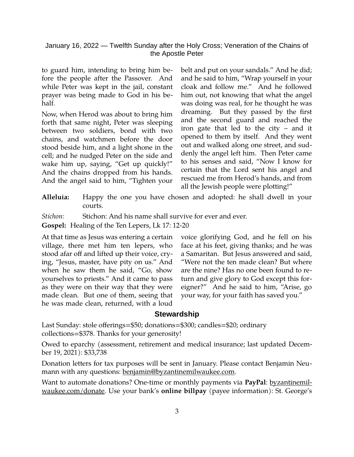to guard him, intending to bring him before the people after the Passover. And while Peter was kept in the jail, constant prayer was being made to God in his behalf.

Now, when Herod was about to bring him forth that same night, Peter was sleeping between two soldiers, bond with two chains, and watchmen before the door stood beside him, and a light shone in the cell; and he nudged Peter on the side and wake him up, saying, "Get up quickly!" And the chains dropped from his hands. And the angel said to him, "Tighten your belt and put on your sandals." And he did; and he said to him, "Wrap yourself in your cloak and follow me." And he followed him out, not knowing that what the angel was doing was real, for he thought he was dreaming. But they passed by the first and the second guard and reached the iron gate that led to the city – and it opened to them by itself. And they went out and walked along one street, and suddenly the angel left him. Then Peter came to his senses and said, "Now I know for certain that the Lord sent his angel and rescued me from Herod's hands, and from all the Jewish people were plotting!"

**Alleluia:** Happy the one you have chosen and adopted: he shall dwell in your courts.

*Stichon:* Stichon: And his name shall survive for ever and ever.

**Gospel:** Healing of the Ten Lepers, Lk 17: 12-20

At that time as Jesus was entering a certain village, there met him ten lepers, who stood afar off and lifted up their voice, crying, "Jesus, master, have pity on us." And when he saw them he said, "Go, show yourselves to priests." And it came to pass as they were on their way that they were made clean. But one of them, seeing that he was made clean, returned, with a loud voice glorifying God, and he fell on his face at his feet, giving thanks; and he was a Samaritan. But Jesus answered and said, "Were not the ten made clean? But where are the nine? Has no one been found to return and give glory to God except this foreigner?" And he said to him, "Arise, go your way, for your faith has saved you."

#### **Stewardship**

Last Sunday: stole offerings=\$50; donations=\$300; candles=\$20; ordinary collections=\$378. Thanks for your generosity!

Owed to eparchy (assessment, retirement and medical insurance; last updated December 19, 2021): \$33,738

Donation letters for tax purposes will be sent in January. Please contact Benjamin Neumann with any questions: [benjamin@byzantinemilwaukee.com](mailto:benjamin@byzantinemilwaukee.com).

Want to automate donations? One-time or monthly payments via **PayPal**: [byzantinemil](https://byzantinemilwaukee.com/donate/)[waukee.com/donate.](https://byzantinemilwaukee.com/donate/) Use your bank's **online billpay** (payee information): St. George's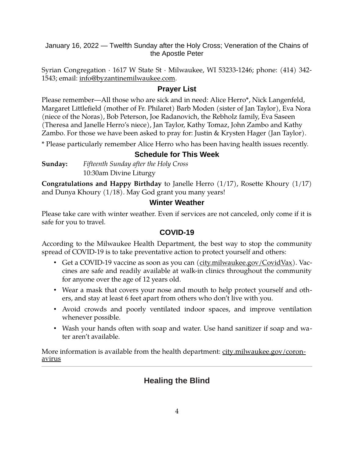Syrian Congregation · 1617 W State St · Milwaukee, WI 53233-1246; phone: (414) 342 1543; email: [info@byzantinemilwaukee.com](mailto:info@byzantinemilwaukee.com).

### **Prayer List**

Please remember—All those who are sick and in need: Alice Herro\*, Nick Langenfeld, Margaret Littlefield (mother of Fr. Philaret) Barb Moden (sister of Jan Taylor), Eva Nora (niece of the Noras), Bob Peterson, Joe Radanovich, the Rebholz family, Eva Saseen (Theresa and Janelle Herro's niece), Jan Taylor, Kathy Tomaz, John Zambo and Kathy Zambo. For those we have been asked to pray for: Justin & Krysten Hager (Jan Taylor).

\* Please particularly remember Alice Herro who has been having health issues recently.

## **Schedule for This Week**

**Sunday:** *Fifteenth Sunday after the Holy Cross* 10:30am Divine Liturgy

**Congratulations and Happy Birthday** to Janelle Herro (1/17), Rosette Khoury (1/17) and Dunya Khoury (1/18). May God grant you many years!

## **Winter Weather**

Please take care with winter weather. Even if services are not canceled, only come if it is safe for you to travel.

### **[COVID-19](mailto:j1ordan2000@yahoo.com)**

According to the Milwaukee Health Department, the best way to stop the community spread of COVID-19 is to take preventative action to protect yourself and others:

- Get a COVID-19 vaccine as soon as you can [\(city.milwaukee.gov/CovidVax\)](https://city.milwaukee.gov/CovidVax). Vaccines are safe and readily available at walk-in clinics throughout the community for anyone over the age of 12 years old.
- Wear a mask that covers your nose and mouth to help protect yourself and others, and stay at least 6 feet apart from others who don't live with you.
- Avoid crowds and poorly ventilated indoor spaces, and improve ventilation whenever possible.
- Wash your hands often with soap and water. Use hand sanitizer if soap and water aren't available.

More information is available from the health department: [city.milwaukee.gov/coron](https://city.milwaukee.gov/coronavirus)[avirus](https://city.milwaukee.gov/coronavirus)

# **Healing the Blind**